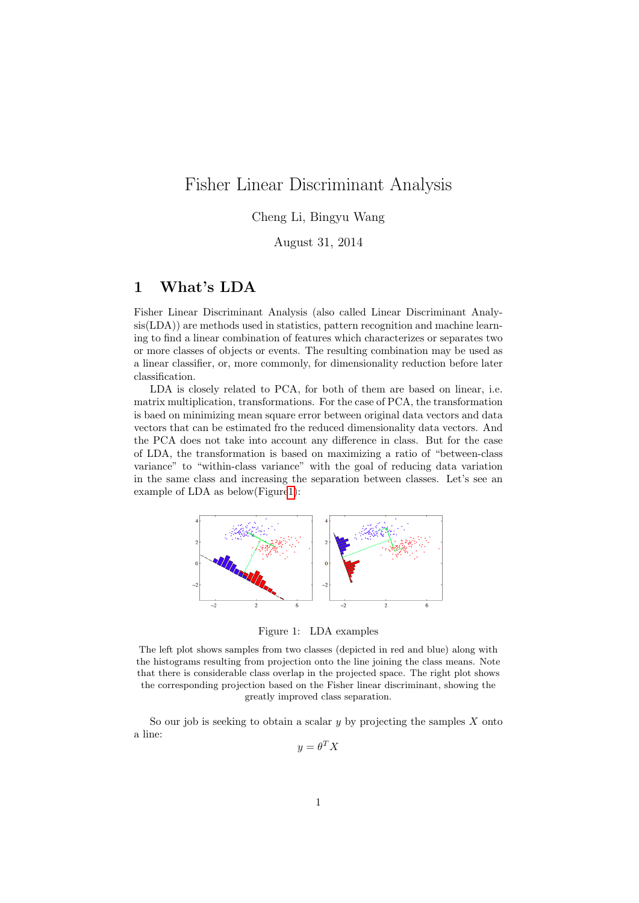# Fisher Linear Discriminant Analysis

# Cheng Li, Bingyu Wang

August 31, 2014

# 1 What's LDA

Fisher Linear Discriminant Analysis (also called Linear Discriminant Analysis(LDA)) are methods used in statistics, pattern recognition and machine learning to find a linear combination of features which characterizes or separates two or more classes of objects or events. The resulting combination may be used as a linear classifier, or, more commonly, for dimensionality reduction before later classification.

LDA is closely related to PCA, for both of them are based on linear, i.e. matrix multiplication, transformations. For the case of PCA, the transformation is baed on minimizing mean square error between original data vectors and data vectors that can be estimated fro the reduced dimensionality data vectors. And the PCA does not take into account any difference in class. But for the case of LDA, the transformation is based on maximizing a ratio of "between-class variance" to "within-class variance" with the goal of reducing data variation in the same class and increasing the separation between classes. Let's see an example of LDA as below(Figur[e1\)](#page-0-0):



<span id="page-0-0"></span>Figure 1: LDA examples

The left plot shows samples from two classes (depicted in red and blue) along with the histograms resulting from projection onto the line joining the class means. Note that there is considerable class overlap in the projected space. The right plot shows the corresponding projection based on the Fisher linear discriminant, showing the greatly improved class separation.

So our job is seeking to obtain a scalar  $y$  by projecting the samples  $X$  onto a line:

 $y = \theta^T X$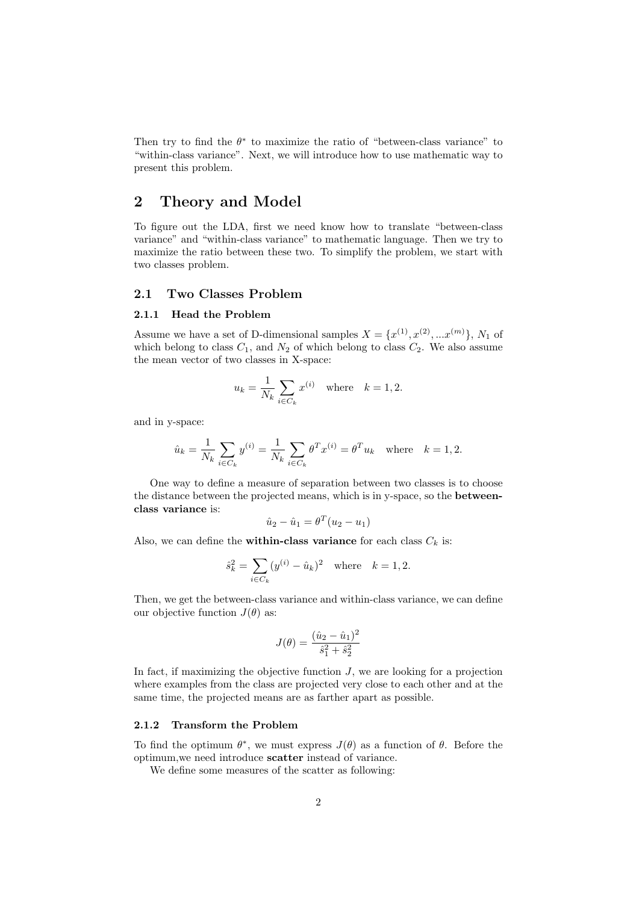Then try to find the  $\theta^*$  to maximize the ratio of "between-class variance" to "within-class variance". Next, we will introduce how to use mathematic way to present this problem.

# 2 Theory and Model

To figure out the LDA, first we need know how to translate "between-class variance" and "within-class variance" to mathematic language. Then we try to maximize the ratio between these two. To simplify the problem, we start with two classes problem.

## 2.1 Two Classes Problem

### 2.1.1 Head the Problem

Assume we have a set of D-dimensional samples  $X = \{x^{(1)}, x^{(2)}, ... x^{(m)}\}, N_1$  of which belong to class  $C_1$ , and  $N_2$  of which belong to class  $C_2$ . We also assume the mean vector of two classes in X-space:

$$
u_k = \frac{1}{N_k} \sum_{i \in C_k} x^{(i)} \quad \text{where} \quad k = 1, 2.
$$

and in y-space:

$$
\hat{u}_k = \frac{1}{N_k} \sum_{i \in C_k} y^{(i)} = \frac{1}{N_k} \sum_{i \in C_k} \theta^T x^{(i)} = \theta^T u_k \text{ where } k = 1, 2.
$$

One way to define a measure of separation between two classes is to choose the distance between the projected means, which is in y-space, so the betweenclass variance is:

$$
\hat{u}_2 - \hat{u}_1 = \theta^T (u_2 - u_1)
$$

Also, we can define the **within-class variance** for each class  $C_k$  is:

$$
\hat{s}_k^2 = \sum_{i \in C_k} (y^{(i)} - \hat{u}_k)^2 \quad \text{where} \quad k = 1, 2.
$$

Then, we get the between-class variance and within-class variance, we can define our objective function  $J(\theta)$  as:

$$
J(\theta) = \frac{(\hat{u}_2 - \hat{u}_1)^2}{\hat{s}_1^2 + \hat{s}_2^2}
$$

In fact, if maximizing the objective function  $J$ , we are looking for a projection where examples from the class are projected very close to each other and at the same time, the projected means are as farther apart as possible.

#### 2.1.2 Transform the Problem

To find the optimum  $\theta^*$ , we must express  $J(\theta)$  as a function of  $\theta$ . Before the optimum,we need introduce scatter instead of variance.

We define some measures of the scatter as following: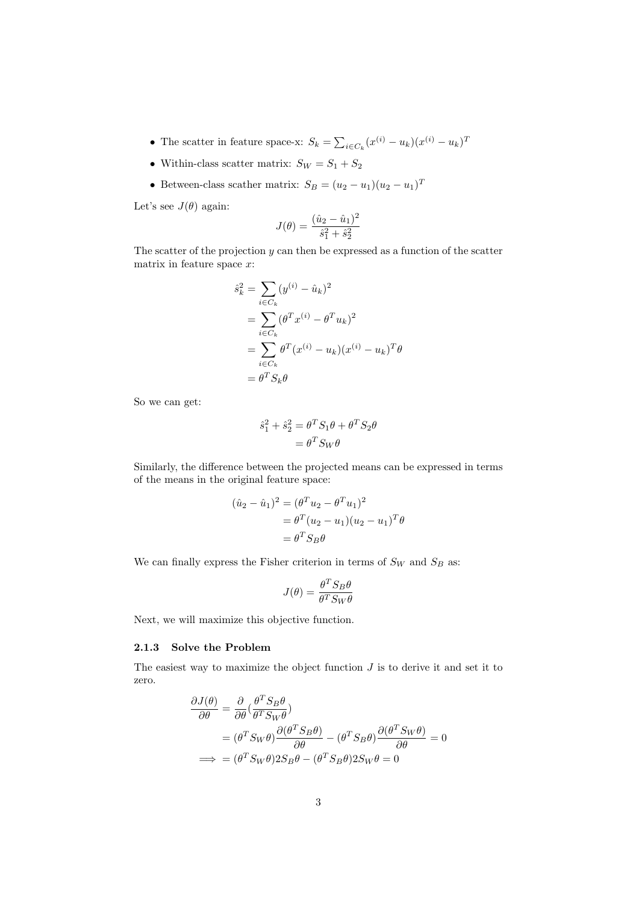- The scatter in feature space-x:  $S_k = \sum_{i \in C_k} (x^{(i)} u_k)(x^{(i)} u_k)^T$
- $\bullet\,$  Within-class scatter matrix:  $S_W=S_1+S_2$
- Between-class scather matrix:  $S_B = (u_2 u_1)(u_2 u_1)^T$

Let's see  $J(\theta)$  again:

$$
J(\theta) = \frac{(\hat{u}_2 - \hat{u}_1)^2}{\hat{s}_1^2 + \hat{s}_2^2}
$$

The scatter of the projection  $y$  can then be expressed as a function of the scatter matrix in feature space  $x$ :

$$
\hat{s}_k^2 = \sum_{i \in C_k} (y^{(i)} - \hat{u}_k)^2
$$
  
= 
$$
\sum_{i \in C_k} (\theta^T x^{(i)} - \theta^T u_k)^2
$$
  
= 
$$
\sum_{i \in C_k} \theta^T (x^{(i)} - u_k)(x^{(i)} - u_k)^T \theta
$$
  
= 
$$
\theta^T S_k \theta
$$

So we can get:

$$
\hat{s}_1^2 + \hat{s}_2^2 = \theta^T S_1 \theta + \theta^T S_2 \theta
$$

$$
= \theta^T S_W \theta
$$

Similarly, the difference between the projected means can be expressed in terms of the means in the original feature space:

$$
(\hat{u}_2 - \hat{u}_1)^2 = (\theta^T u_2 - \theta^T u_1)^2
$$
  
=  $\theta^T (u_2 - u_1)(u_2 - u_1)^T \theta$   
=  $\theta^T S_B \theta$ 

We can finally express the Fisher criterion in terms of  $S_W$  and  $S_B$  as:

$$
J(\theta) = \frac{\theta^T S_B \theta}{\theta^T S_W \theta}
$$

Next, we will maximize this objective function.

### 2.1.3 Solve the Problem

The easiest way to maximize the object function  $J$  is to derive it and set it to zero.

$$
\frac{\partial J(\theta)}{\partial \theta} = \frac{\partial}{\partial \theta} \left( \frac{\theta^T S_B \theta}{\theta^T S_W \theta} \right)
$$
  
=  $(\theta^T S_W \theta) \frac{\partial (\theta^T S_B \theta)}{\partial \theta} - (\theta^T S_B \theta) \frac{\partial (\theta^T S_W \theta)}{\partial \theta} = 0$   
 $\implies = (\theta^T S_W \theta) 2S_B \theta - (\theta^T S_B \theta) 2S_W \theta = 0$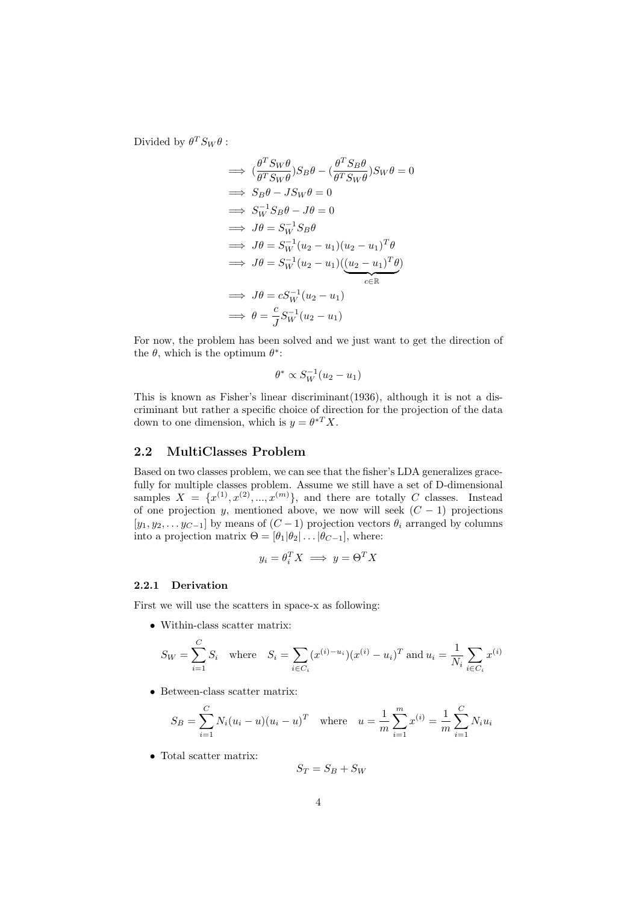Divided by  $\theta^T S_W \theta$ :

$$
\implies \left(\frac{\theta^T S_W \theta}{\theta^T S_W \theta}\right) S_B \theta - \left(\frac{\theta^T S_B \theta}{\theta^T S_W \theta}\right) S_W \theta = 0
$$
\n
$$
\implies S_B \theta - J S_W \theta = 0
$$
\n
$$
\implies S_W^{-1} S_B \theta - J \theta = 0
$$
\n
$$
\implies J \theta = S_W^{-1} (u_2 - u_1) (u_2 - u_1)^T \theta
$$
\n
$$
\implies J \theta = S_W^{-1} (u_2 - u_1) \underbrace{\left((u_2 - u_1)^T \theta\right)}_{c \in \mathbb{R}}
$$
\n
$$
\implies J \theta = c S_W^{-1} (u_2 - u_1)
$$
\n
$$
\implies \theta = \frac{c}{J} S_W^{-1} (u_2 - u_1)
$$

For now, the problem has been solved and we just want to get the direction of the  $\theta$ , which is the optimum  $\theta^*$ :

$$
\theta^* \propto S_W^{-1}(u_2 - u_1)
$$

This is known as Fisher's linear discriminant(1936), although it is not a discriminant but rather a specific choice of direction for the projection of the data down to one dimension, which is  $y = \theta^{*T} X$ .

### 2.2 MultiClasses Problem

Based on two classes problem, we can see that the fisher's LDA generalizes gracefully for multiple classes problem. Assume we still have a set of D-dimensional samples  $X = \{x^{(1)}, x^{(2)}, ..., x^{(m)}\}$ , and there are totally C classes. Instead of one projection y, mentioned above, we now will seek  $(C - 1)$  projections  $[y_1, y_2, \ldots, y_{C-1}]$  by means of  $(C-1)$  projection vectors  $\theta_i$  arranged by columns into a projection matrix  $\Theta = [\theta_1 | \theta_2 | \dots | \theta_{C-1}]$ , where:

$$
y_i = \theta_i^T X \implies y = \Theta^T X
$$

#### 2.2.1 Derivation

First we will use the scatters in space-x as following:

• Within-class scatter matrix:

$$
S_W = \sum_{i=1}^{C} S_i \quad \text{where} \quad S_i = \sum_{i \in C_i} (x^{(i) - u_i})(x^{(i)} - u_i)^T \text{ and } u_i = \frac{1}{N_i} \sum_{i \in C_i} x^{(i)}
$$

• Between-class scatter matrix:

$$
S_B = \sum_{i=1}^{C} N_i (u_i - u)(u_i - u)^T \quad \text{where} \quad u = \frac{1}{m} \sum_{i=1}^{m} x^{(i)} = \frac{1}{m} \sum_{i=1}^{C} N_i u_i
$$

 $\bullet~$  Total scatter matrix:

$$
S_T = S_B + S_W
$$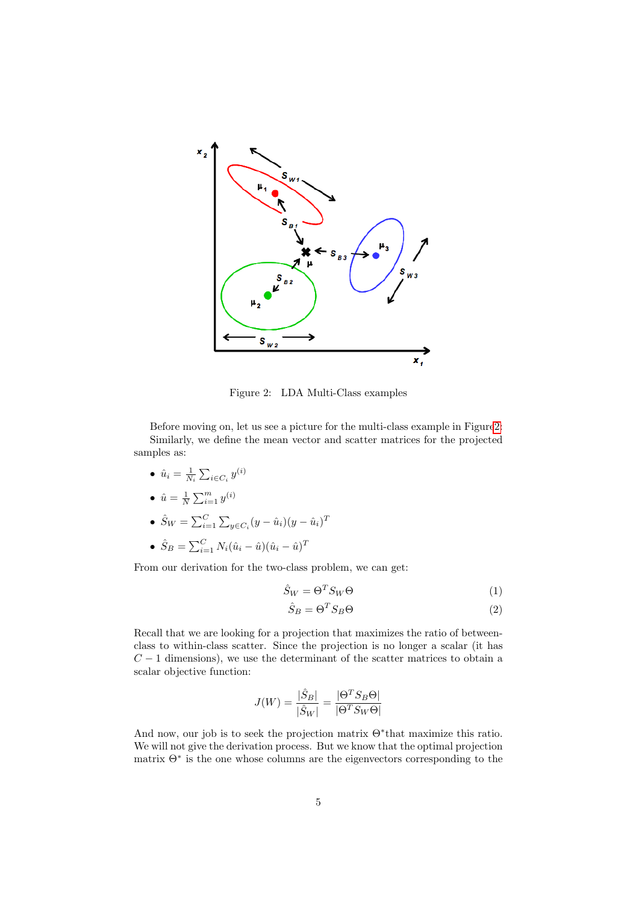

<span id="page-4-0"></span>Figure 2: LDA Multi-Class examples

Before moving on, let us see a picture for the multi-class example in Figur[e2:](#page-4-0) Similarly, we define the mean vector and scatter matrices for the projected samples as:

- $\bullet\,\,\hat{u}_i = \frac{1}{N_i}\sum_{i\in C_i}y^{(i)}$
- $\hat{u} = \frac{1}{N} \sum_{i=1}^{m} y^{(i)}$

$$
\bullet \ \hat{S}_W = \sum_{i=1}^C \sum_{y \in C_i} (y - \hat{u}_i)(y - \hat{u}_i)^T
$$

• 
$$
\hat{S}_B = \sum_{i=1}^{C} N_i (\hat{u}_i - \hat{u})(\hat{u}_i - \hat{u})^T
$$

From our derivation for the two-class problem, we can get:

$$
\hat{S}_W = \Theta^T S_W \Theta \tag{1}
$$

$$
\hat{S}_B = \Theta^T S_B \Theta \tag{2}
$$

Recall that we are looking for a projection that maximizes the ratio of betweenclass to within-class scatter. Since the projection is no longer a scalar (it has  $C-1$  dimensions), we use the determinant of the scatter matrices to obtain a scalar objective function:

$$
J(W) = \frac{|\hat{S}_B|}{|\hat{S}_W|} = \frac{|\Theta^T S_B \Theta|}{|\Theta^T S_W \Theta|}
$$

And now, our job is to seek the projection matrix Θ<sup>∗</sup> that maximize this ratio. We will not give the derivation process. But we know that the optimal projection matrix Θ<sup>∗</sup> is the one whose columns are the eigenvectors corresponding to the